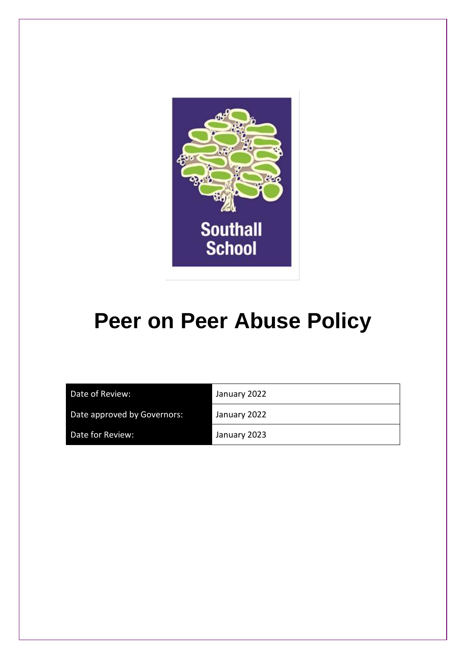

# **Peer on Peer Abuse Policy**

| Date of Review:             | January 2022 |
|-----------------------------|--------------|
| Date approved by Governors: | January 2022 |
| Date for Review:            | January 2023 |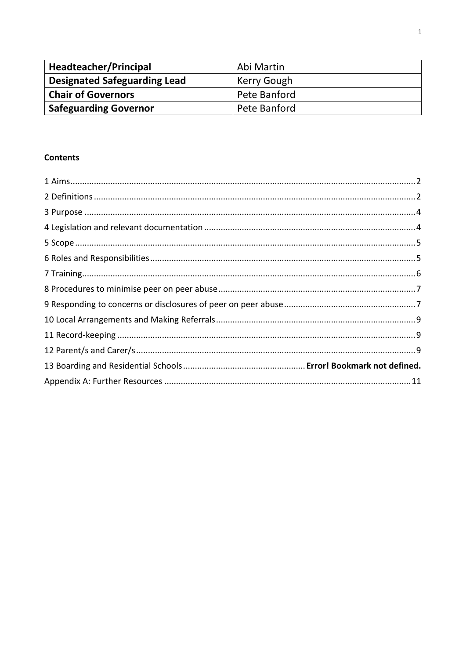| Headteacher/Principal               | Abi Martin   |
|-------------------------------------|--------------|
| <b>Designated Safeguarding Lead</b> | Kerry Gough  |
| <b>Chair of Governors</b>           | Pete Banford |
| <b>Safeguarding Governor</b>        | Pete Banford |

### **Contents**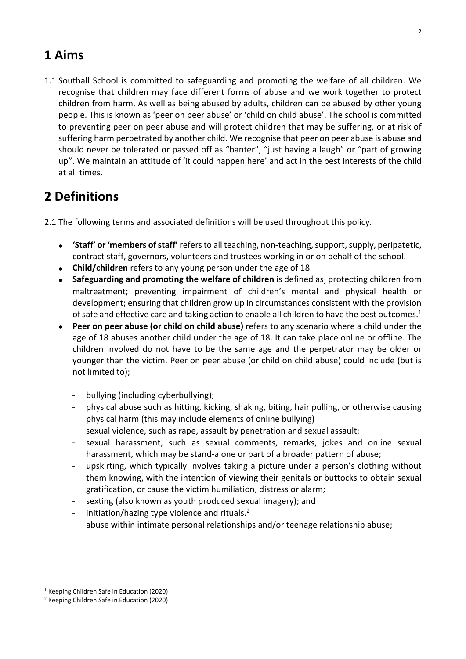# <span id="page-2-0"></span>**1 Aims**

1.1 Southall School is committed to safeguarding and promoting the welfare of all children. We recognise that children may face different forms of abuse and we work together to protect children from harm. As well as being abused by adults, children can be abused by other young people. This is known as 'peer on peer abuse' or 'child on child abuse'. The school is committed to preventing peer on peer abuse and will protect children that may be suffering, or at risk of suffering harm perpetrated by another child. We recognise that peer on peer abuse is abuse and should never be tolerated or passed off as "banter", "just having a laugh" or "part of growing up". We maintain an attitude of 'it could happen here' and act in the best interests of the child at all times.

# <span id="page-2-1"></span>**2 Definitions**

2.1 The following terms and associated definitions will be used throughout this policy.

- **'Staff' or'members ofstaff'** refersto all teaching, non-teaching,support,supply, peripatetic, contract staff, governors, volunteers and trustees working in or on behalf of the school.
- **Child/children** refers to any young person under the age of 18.
- **Safeguarding and promoting the welfare of children** is defined as; protecting children from maltreatment; preventing impairment of children's mental and physical health or development; ensuring that children grow up in circumstances consistent with the provision of safe and effective care and taking action to enable all children to have the best outcomes.<sup>1</sup>
- **Peer on peer abuse (or child on child abuse)** refers to any scenario where a child under the age of 18 abuses another child under the age of 18. It can take place online or offline. The children involved do not have to be the same age and the perpetrator may be older or younger than the victim. Peer on peer abuse (or child on child abuse) could include (but is not limited to);
	- bullying (including cyberbullying);
	- physical abuse such as hitting, kicking, shaking, biting, hair pulling, or otherwise causing physical harm (this may include elements of online bullying)
	- sexual violence, such as rape, assault by penetration and sexual assault;
	- sexual harassment, such as sexual comments, remarks, jokes and online sexual harassment, which may be stand-alone or part of a broader pattern of abuse;
	- upskirting, which typically involves taking a picture under a person's clothing without them knowing, with the intention of viewing their genitals or buttocks to obtain sexual gratification, or cause the victim humiliation, distress or alarm;
	- sexting (also known as youth produced sexual imagery); and
	- initiation/hazing type violence and rituals. $2$
	- abuse within intimate personal relationships and/or teenage relationship abuse;

<sup>1</sup> Keeping Children Safe in Education (2020)

<sup>2</sup> Keeping Children Safe in Education (2020)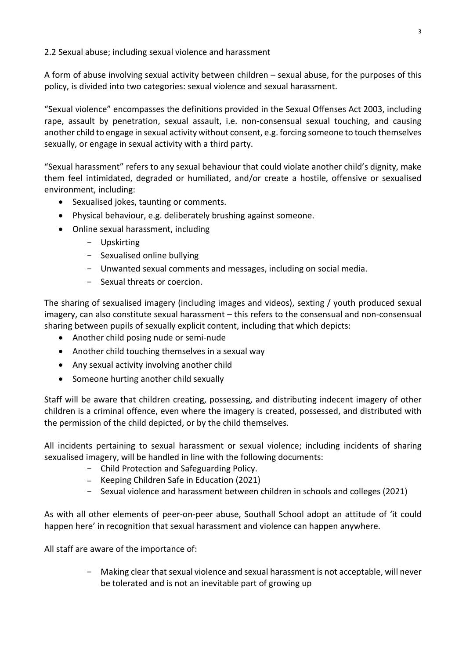2.2 Sexual abuse; including sexual violence and harassment

A form of abuse involving sexual activity between children – sexual abuse, for the purposes of this policy, is divided into two categories: sexual violence and sexual harassment.

"Sexual violence" encompasses the definitions provided in the Sexual Offenses Act 2003, including rape, assault by penetration, sexual assault, i.e. non-consensual sexual touching, and causing another child to engage in sexual activity without consent, e.g. forcing someone to touch themselves sexually, or engage in sexual activity with a third party.

"Sexual harassment" refers to any sexual behaviour that could violate another child's dignity, make them feel intimidated, degraded or humiliated, and/or create a hostile, offensive or sexualised environment, including:

- Sexualised jokes, taunting or comments.
- Physical behaviour, e.g. deliberately brushing against someone.
- Online sexual harassment, including
	- Upskirting
	- Sexualised online bullying
	- Unwanted sexual comments and messages, including on social media.
	- Sexual threats or coercion.

The sharing of sexualised imagery (including images and videos), sexting / youth produced sexual imagery, can also constitute sexual harassment – this refers to the consensual and non-consensual sharing between pupils of sexually explicit content, including that which depicts:

- Another child posing nude or semi-nude
- Another child touching themselves in a sexual way
- Any sexual activity involving another child
- Someone hurting another child sexually

Staff will be aware that children creating, possessing, and distributing indecent imagery of other children is a criminal offence, even where the imagery is created, possessed, and distributed with the permission of the child depicted, or by the child themselves.

All incidents pertaining to sexual harassment or sexual violence; including incidents of sharing sexualised imagery, will be handled in line with the following documents:

- Child Protection and Safeguarding Policy.
- Keeping Children Safe in [Education](https://assets.publishing.service.gov.uk/government/uploads/system/uploads/attachment_data/file/912592/Keeping_children_safe_in_education_Sep_2020.pdf) (2021)
- Sexual violence and harassment between children in schools and colleges (2021)

As with all other elements of peer-on-peer abuse, Southall School adopt an attitude of 'it could happen here' in recognition that sexual harassment and violence can happen anywhere.

All staff are aware of the importance of:

- Making clear that sexual violence and sexual harassment is not acceptable, will never be tolerated and is not an inevitable part of growing up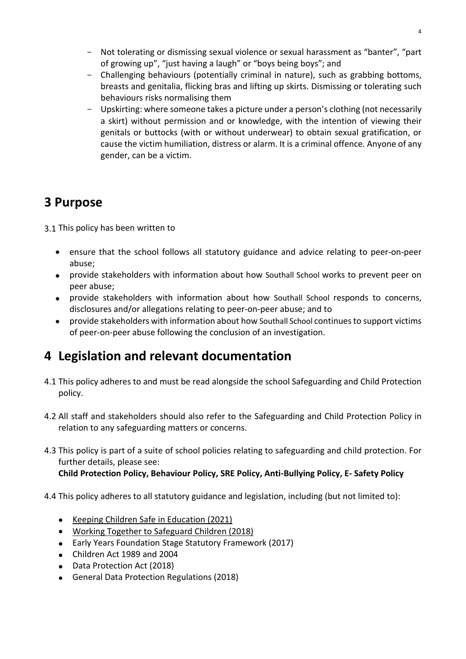- Not tolerating or dismissing sexual violence or sexual harassment as "banter", "part of growing up", "just having a laugh" or "boys being boys"; and
- Challenging behaviours (potentially criminal in nature), such as grabbing bottoms, breasts and genitalia, flicking bras and lifting up skirts. Dismissing or tolerating such behaviours risks normalising them
- Upskirting: where someone takes a picture under a person's clothing (not necessarily a skirt) without permission and or knowledge, with the intention of viewing their genitals or buttocks (with or without underwear) to obtain sexual gratification, or cause the victim humiliation, distress or alarm. It is a criminal offence. Anyone of any gender, can be a victim.

# <span id="page-4-0"></span>**3 Purpose**

3.1 This policy has been written to

- ensure that the school follows all statutory guidance and advice relating to peer-on-peer abuse;
- provide stakeholders with information about how Southall School works to prevent peer on peer abuse;
- provide stakeholders with information about how Southall School responds to concerns, disclosures and/or allegations relating to peer-on-peer abuse; and to
- provide stakeholders with information about how Southall School continues to support victims of peer-on-peer abuse following the conclusion of an investigation.

# <span id="page-4-1"></span>**4 Legislation and relevant documentation**

- 4.1 This policy adheres to and must be read alongside the school Safeguarding and Child Protection policy.
- 4.2 All staff and stakeholders should also refer to the Safeguarding and Child Protection Policy in relation to any safeguarding matters or concerns.
- 4.3 This policy is part of a suite of school policies relating to safeguarding and child protection. For further details, please see: **Child Protection Policy, Behaviour Policy, SRE Policy, Anti-Bullying Policy, E- Safety Policy**

4.4 This policy adheres to all statutory guidance and legislation, including (but not limited to):

- Keeping Children Safe in [Education](https://assets.publishing.service.gov.uk/government/uploads/system/uploads/attachment_data/file/912592/Keeping_children_safe_in_education_Sep_2020.pdf) (2021)
- Working Together to [Safeguard](https://www.gov.uk/government/publications/working-together-to-safeguard-children--2) Children (2018)
- Early Years Foundation Stage Statutory Framework (2017)
- Children Act 1989 and 2004
- Data Protection Act (2018)
- General Data Protection Regulations (2018)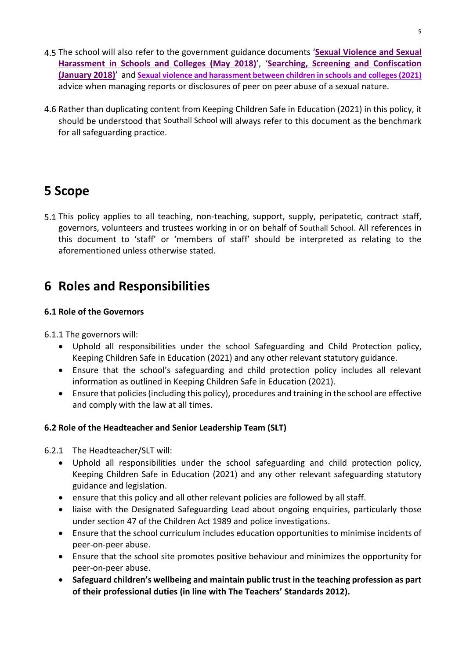- 4.5 The school will also refer to the government guidance documents '**Sexual [Violence](https://assets.publishing.service.gov.uk/government/uploads/system/uploads/attachment_data/file/719902/Sexual_violence_and_sexual_harassment_between_children_in_schools_and_colleges.pdf) and Sexual [Harassment](https://assets.publishing.service.gov.uk/government/uploads/system/uploads/attachment_data/file/719902/Sexual_violence_and_sexual_harassment_between_children_in_schools_and_colleges.pdf) in Schools and Colleges (May 2018)**', '**Searching, Screening and [Confiscation](https://assets.publishing.service.gov.uk/government/uploads/system/uploads/attachment_data/file/674416/Searching_screening_and_confiscation.pdf) [\(January](https://assets.publishing.service.gov.uk/government/uploads/system/uploads/attachment_data/file/674416/Searching_screening_and_confiscation.pdf) 2018)**' and **Sexual violence and harassment between children in schools and colleges(2021)** advice when managing reports or disclosures of peer on peer abuse of a sexual nature.
- 4.6 Rather than duplicating content from Keeping Children Safe in Education (2021) in this policy, it should be understood that Southall School will always refer to this document as the benchmark for all safeguarding practice.

# <span id="page-5-0"></span>**5 Scope**

5.1 This policy applies to all teaching, non-teaching, support, supply, peripatetic, contract staff, governors, volunteers and trustees working in or on behalf of Southall School. All references in this document to 'staff' or 'members of staff' should be interpreted as relating to the aforementioned unless otherwise stated.

# <span id="page-5-1"></span>**6 Roles and Responsibilities**

### **6.1 Role of the Governors**

6.1.1 The governors will:

- Uphold all responsibilities under the school Safeguarding and Child Protection policy, Keeping Children Safe in Education (2021) and any other relevant statutory guidance.
- Ensure that the school's safeguarding and child protection policy includes all relevant information as outlined in Keeping Children Safe in Education (2021).
- Ensure that policies(including this policy), procedures and training in the school are effective and comply with the law at all times.

### **6.2 Role of the Headteacher and Senior Leadership Team (SLT)**

6.2.1 The Headteacher/SLT will:

- Uphold all responsibilities under the school safeguarding and child protection policy, Keeping Children Safe in Education (2021) and any other relevant safeguarding statutory guidance and legislation.
- ensure that this policy and all other relevant policies are followed by all staff.
- liaise with the Designated Safeguarding Lead about ongoing enquiries, particularly those under section 47 of the Children Act 1989 and police investigations.
- Ensure that the school curriculum includes education opportunities to minimise incidents of peer-on-peer abuse.
- Ensure that the school site promotes positive behaviour and minimizes the opportunity for peer-on-peer abuse.
- **Safeguard children's wellbeing and maintain public trust in the teaching profession as part of their professional duties (in line with The Teachers' Standards 2012).**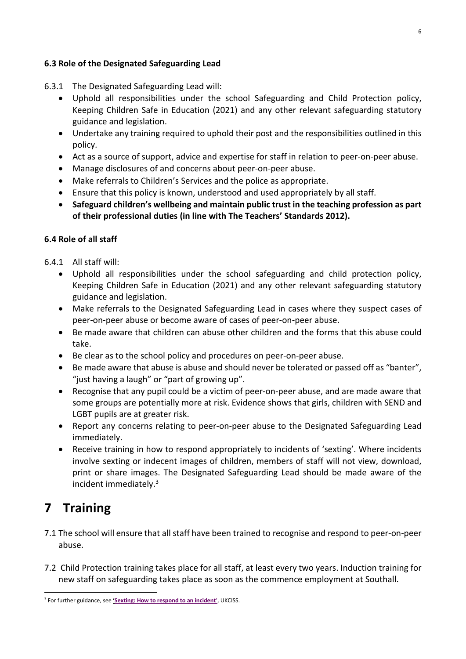### **6.3 Role of the Designated Safeguarding Lead**

- 6.3.1 The Designated Safeguarding Lead will:
	- Uphold all responsibilities under the school Safeguarding and Child Protection policy, Keeping Children Safe in Education (2021) and any other relevant safeguarding statutory guidance and legislation.
	- Undertake any training required to uphold their post and the responsibilities outlined in this policy.
	- Act as a source of support, advice and expertise for staff in relation to peer-on-peer abuse.
	- Manage disclosures of and concerns about peer-on-peer abuse.
	- Make referrals to Children's Services and the police as appropriate.
	- Ensure that this policy is known, understood and used appropriately by all staff.
	- **Safeguard children's wellbeing and maintain public trust in the teaching profession as part of their professional duties (in line with The Teachers' Standards 2012).**

#### **6.4 Role of all staff**

- 6.4.1 All staff will:
	- Uphold all responsibilities under the school safeguarding and child protection policy, Keeping Children Safe in Education (2021) and any other relevant safeguarding statutory guidance and legislation.
	- Make referrals to the Designated Safeguarding Lead in cases where they suspect cases of peer-on-peer abuse or become aware of cases of peer-on-peer abuse.
	- Be made aware that children can abuse other children and the forms that this abuse could take.
	- Be clear as to the school policy and procedures on peer-on-peer abuse.
	- Be made aware that abuse is abuse and should never be tolerated or passed off as "banter", "just having a laugh" or "part of growing up".
	- Recognise that any pupil could be a victim of peer-on-peer abuse, and are made aware that some groups are potentially more at risk. Evidence shows that girls, children with SEND and LGBT pupils are at greater risk.
	- Report any concerns relating to peer-on-peer abuse to the Designated Safeguarding Lead immediately.
	- Receive training in how to respond appropriately to incidents of 'sexting'. Where incidents involve sexting or indecent images of children, members of staff will not view, download, print or share images. The Designated Safeguarding Lead should be made aware of the incident immediately.<sup>3</sup>

# <span id="page-6-0"></span>**7 Training**

- 7.1 The school will ensure that all staff have been trained to recognise and respond to peer-on-peer abuse.
- 7.2 Child Protection training takes place for all staff, at least every two years. Induction training for new staff on safeguarding takes place as soon as the commence employment at Southall.

<sup>3</sup> For further guidance, see **'Sexting: How to [respond](https://assets.publishing.service.gov.uk/government/uploads/system/uploads/attachment_data/file/759009/Overview_of_Sexting_Guidance.pdf) to an incident**', UKCISS.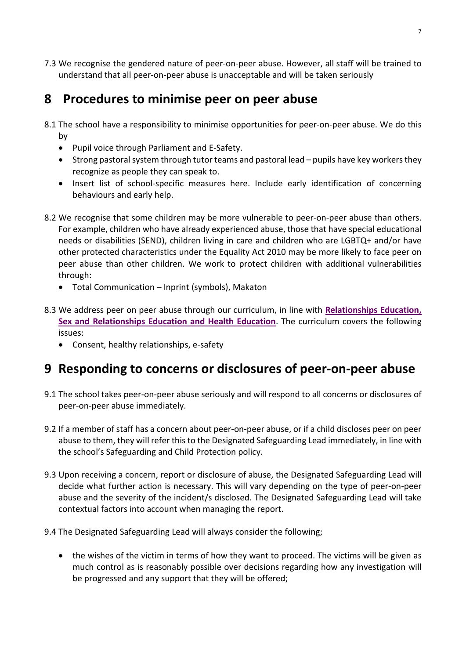7.3 We recognise the gendered nature of peer-on-peer abuse. However, all staff will be trained to understand that all peer-on-peer abuse is unacceptable and will be taken seriously

### <span id="page-7-0"></span>**8 Procedures to minimise peer on peer abuse**

- 8.1 The school have a responsibility to minimise opportunities for peer-on-peer abuse. We do this by
	- Pupil voice through Parliament and E-Safety.
	- $\bullet$  Strong pastoral system through tutor teams and pastoral lead pupils have key workers they recognize as people they can speak to.
	- Insert list of school-specific measures here. Include early identification of concerning behaviours and early help.
- 8.2 We recognise that some children may be more vulnerable to peer-on-peer abuse than others. For example, children who have already experienced abuse, those that have special educational needs or disabilities (SEND), children living in care and children who are LGBTQ+ and/or have other protected characteristics under the Equality Act 2010 may be more likely to face peer on peer abuse than other children. We work to protect children with additional vulnerabilities through:
	- Total Communication Inprint (symbols), Makaton
- 8.3 We address peer on peer abuse through our curriculum, in line with **[Relationships](https://assets.publishing.service.gov.uk/government/uploads/system/uploads/attachment_data/file/908013/Relationships_Education__Relationships_and_Sex_Education__RSE__and_Health_Education.pdf) Education, Sex and [Relationships](https://assets.publishing.service.gov.uk/government/uploads/system/uploads/attachment_data/file/908013/Relationships_Education__Relationships_and_Sex_Education__RSE__and_Health_Education.pdf) Education and Health Education**. The curriculum covers the following issues:
	- Consent, healthy relationships, e-safety

# <span id="page-7-1"></span>**9 Responding to concerns or disclosures of peer-on-peer abuse**

- 9.1 The school takes peer-on-peer abuse seriously and will respond to all concerns or disclosures of peer-on-peer abuse immediately.
- 9.2 If a member of staff has a concern about peer-on-peer abuse, or if a child discloses peer on peer abuse to them, they will refer this to the Designated Safeguarding Lead immediately, in line with the school's Safeguarding and Child Protection policy.
- 9.3 Upon receiving a concern, report or disclosure of abuse, the Designated Safeguarding Lead will decide what further action is necessary. This will vary depending on the type of peer-on-peer abuse and the severity of the incident/s disclosed. The Designated Safeguarding Lead will take contextual factors into account when managing the report.
- 9.4 The Designated Safeguarding Lead will always consider the following;
	- the wishes of the victim in terms of how they want to proceed. The victims will be given as much control as is reasonably possible over decisions regarding how any investigation will be progressed and any support that they will be offered;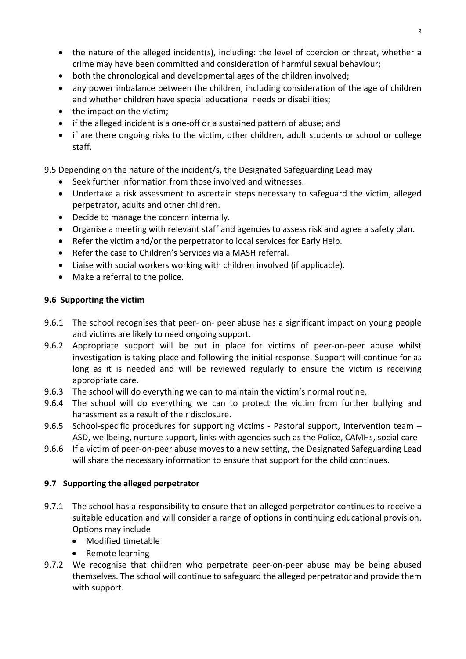- the nature of the alleged incident(s), including: the level of coercion or threat, whether a crime may have been committed and consideration of harmful sexual behaviour;
- both the chronological and developmental ages of the children involved;
- any power imbalance between the children, including consideration of the age of children and whether children have special educational needs or disabilities;
- the impact on the victim;
- if the alleged incident is a one-off or a sustained pattern of abuse; and
- if are there ongoing risks to the victim, other children, adult students or school or college staff.

9.5 Depending on the nature of the incident/s, the Designated Safeguarding Lead may

- Seek further information from those involved and witnesses.
- Undertake a risk assessment to ascertain steps necessary to safeguard the victim, alleged perpetrator, adults and other children.
- Decide to manage the concern internally.
- Organise a meeting with relevant staff and agencies to assess risk and agree a safety plan.
- Refer the victim and/or the perpetrator to local services for Early Help.
- Refer the case to Children's Services via a MASH referral.
- Liaise with social workers working with children involved (if applicable).
- Make a referral to the police.

### **9.6 Supporting the victim**

- 9.6.1 The school recognises that peer- on- peer abuse has a significant impact on young people and victims are likely to need ongoing support.
- 9.6.2 Appropriate support will be put in place for victims of peer-on-peer abuse whilst investigation is taking place and following the initial response. Support will continue for as long as it is needed and will be reviewed regularly to ensure the victim is receiving appropriate care.
- 9.6.3 The school will do everything we can to maintain the victim's normal routine.
- 9.6.4 The school will do everything we can to protect the victim from further bullying and harassment as a result of their disclosure.
- 9.6.5 School-specific procedures for supporting victims Pastoral support, intervention team -ASD, wellbeing, nurture support, links with agencies such as the Police, CAMHs, social care
- 9.6.6 If a victim of peer-on-peer abuse moves to a new setting, the Designated Safeguarding Lead will share the necessary information to ensure that support for the child continues.

### **9.7 Supporting the alleged perpetrator**

- 9.7.1 The school has a responsibility to ensure that an alleged perpetrator continues to receive a suitable education and will consider a range of options in continuing educational provision. Options may include
	- Modified timetable
	- Remote learning
- 9.7.2 We recognise that children who perpetrate peer-on-peer abuse may be being abused themselves. The school will continue to safeguard the alleged perpetrator and provide them with support.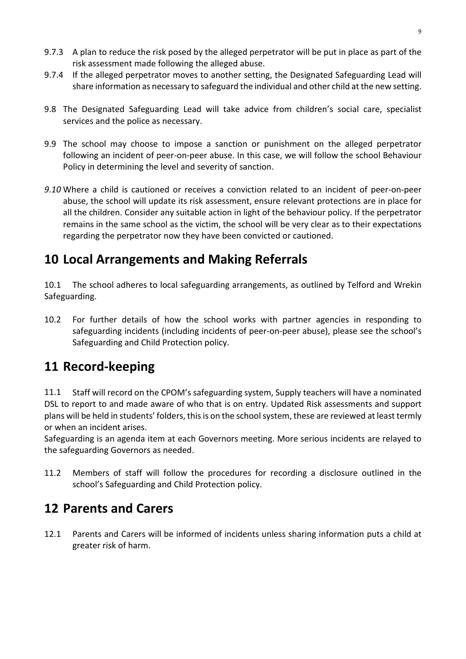- 9.7.3 A plan to reduce the risk posed by the alleged perpetrator will be put in place as part of the risk assessment made following the alleged abuse.
- 9.7.4 If the alleged perpetrator moves to another setting, the Designated Safeguarding Lead will share information as necessary to safeguard the individual and other child at the new setting.
- 9.8 The Designated Safeguarding Lead will take advice from children's social care, specialist services and the police as necessary.
- 9.9 The school may choose to impose a sanction or punishment on the alleged perpetrator following an incident of peer-on-peer abuse. In this case, we will follow the school Behaviour Policy in determining the level and severity of sanction.
- *9.10* Where a child is cautioned or receives a conviction related to an incident of peer-on-peer abuse, the school will update its risk assessment, ensure relevant protections are in place for all the children. Consider any suitable action in light of the behaviour policy. If the perpetrator remains in the same school as the victim, the school will be very clear as to their expectations regarding the perpetrator now they have been convicted or cautioned.

# <span id="page-9-0"></span>**10 Local Arrangements and Making Referrals**

10.1 The school adheres to local safeguarding arrangements, as outlined by Telford and Wrekin Safeguarding.

10.2 For further details of how the school works with partner agencies in responding to safeguarding incidents (including incidents of peer-on-peer abuse), please see the school's Safeguarding and Child Protection policy.

# <span id="page-9-1"></span>**11 Record-keeping**

11.1 Staff will record on the CPOM's safeguarding system, Supply teachers will have a nominated DSL to report to and made aware of who that is on entry. Updated Risk assessments and support plans will be held in students' folders, this is on the school system, these are reviewed at least termly or when an incident arises.

Safeguarding is an agenda item at each Governors meeting. More serious incidents are relayed to the safeguarding Governors as needed.

11.2 Members of staff will follow the procedures for recording a disclosure outlined in the school's Safeguarding and Child Protection policy.

# <span id="page-9-2"></span>**12 Parents and Carers**

12.1 Parents and Carers will be informed of incidents unless sharing information puts a child at greater risk of harm.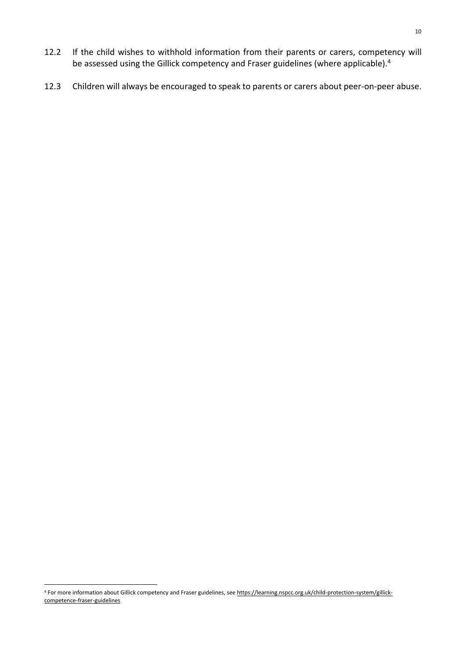- 12.2 If the child wishes to withhold information from their parents or carers, competency will be assessed using the Gillick competency and Fraser guidelines (where applicable).<sup>4</sup>
- <span id="page-10-0"></span>12.3 Children will always be encouraged to speak to parents or carers about peer-on-peer abuse.

<sup>4</sup> For more information about Gillick competency and Fraser guidelines, see [https://learning.nspcc.org.uk/child-protection-system/gillick](https://learning.nspcc.org.uk/child-protection-system/gillick-competence-fraser-guidelines)[competence-fraser-guidelines](https://learning.nspcc.org.uk/child-protection-system/gillick-competence-fraser-guidelines)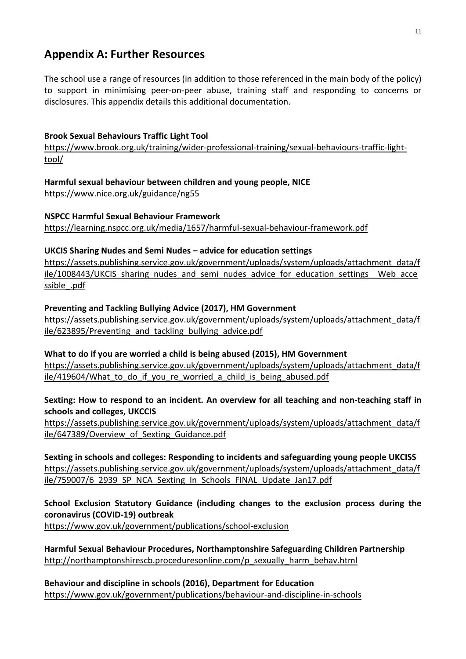### **Appendix A: Further Resources**

The school use a range of resources (in addition to those referenced in the main body of the policy) to support in minimising peer-on-peer abuse, training staff and responding to concerns or disclosures. This appendix details this additional documentation.

### **Brook Sexual Behaviours Traffic Light Tool**

[https://www.brook.org.uk/training/wider-professional-training/sexual-behaviours-traffic-light](https://www.brook.org.uk/training/wider-professional-training/sexual-behaviours-traffic-light-tool/)[tool/](https://www.brook.org.uk/training/wider-professional-training/sexual-behaviours-traffic-light-tool/)

**Harmful sexual behaviour between children and young people, NICE** <https://www.nice.org.uk/guidance/ng55>

**NSPCC Harmful Sexual Behaviour Framework** <https://learning.nspcc.org.uk/media/1657/harmful-sexual-behaviour-framework.pdf>

### **UKCIS Sharing Nudes and Semi Nudes – advice for education settings**

[https://assets.publishing.service.gov.uk/government/uploads/system/uploads/attachment\\_data/f](https://assets.publishing.service.gov.uk/government/uploads/system/uploads/attachment_data/file/1008443/UKCIS_sharing_nudes_and_semi_nudes_advice_for_education_settings__Web_accessible_.pdf) ile/1008443/UKCIS sharing nudes and semi\_nudes\_advice\_for\_education\_settings\_\_Web\_acce ssible .pdf

### **Preventing and Tackling Bullying Advice (2017), HM Government**

[https://assets.publishing.service.gov.uk/government/uploads/system/uploads/attachment\\_data/f](https://assets.publishing.service.gov.uk/government/uploads/system/uploads/attachment_data/file/623895/Preventing_and_tackling_bullying_advice.pdf) [ile/623895/Preventing\\_and\\_tackling\\_bullying\\_advice.pdf](https://assets.publishing.service.gov.uk/government/uploads/system/uploads/attachment_data/file/623895/Preventing_and_tackling_bullying_advice.pdf)

**What to do if you are worried a child is being abused (2015), HM Government**  [https://assets.publishing.service.gov.uk/government/uploads/system/uploads/attachment\\_data/f](https://assets.publishing.service.gov.uk/government/uploads/system/uploads/attachment_data/file/419604/What_to_do_if_you_re_worried_a_child_is_being_abused.pdf) ile/419604/What to do if you re worried a child is being abused.pdf

### **Sexting: How to respond to an incident. An overview for all teaching and non-teaching staff in schools and colleges, UKCCIS**

[https://assets.publishing.service.gov.uk/government/uploads/system/uploads/attachment\\_data/f](https://assets.publishing.service.gov.uk/government/uploads/system/uploads/attachment_data/file/647389/Overview_of_Sexting_Guidance.pdf) ile/647389/Overview of Sexting Guidance.pdf

**Sexting in schools and colleges: Responding to incidents and safeguarding young people UKCISS** [https://assets.publishing.service.gov.uk/government/uploads/system/uploads/attachment\\_data/f](https://assets.publishing.service.gov.uk/government/uploads/system/uploads/attachment_data/file/759007/6_2939_SP_NCA_Sexting_In_Schools_FINAL_Update_Jan17.pdf) [ile/759007/6\\_2939\\_SP\\_NCA\\_Sexting\\_In\\_Schools\\_FINAL\\_Update\\_Jan17.pdf](https://assets.publishing.service.gov.uk/government/uploads/system/uploads/attachment_data/file/759007/6_2939_SP_NCA_Sexting_In_Schools_FINAL_Update_Jan17.pdf)

**School Exclusion Statutory Guidance (including changes to the exclusion process during the coronavirus (COVID-19) outbreak**

<https://www.gov.uk/government/publications/school-exclusion>

**Harmful Sexual Behaviour Procedures, Northamptonshire Safeguarding Children Partnership** [http://northamptonshirescb.proceduresonline.com/p\\_sexually\\_harm\\_behav.html](http://northamptonshirescb.proceduresonline.com/p_sexually_harm_behav.html)

**Behaviour and discipline in schools (2016), Department for Education** <https://www.gov.uk/government/publications/behaviour-and-discipline-in-schools>